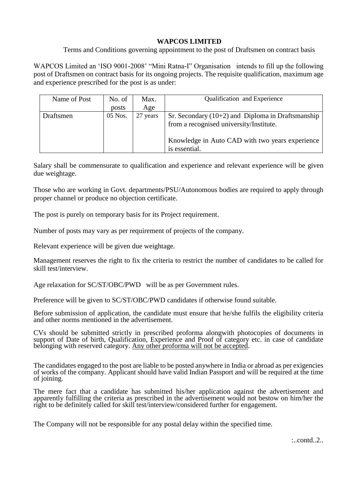## **WAPCOS LIMITED**

Terms and Conditions governing appointment to the post of Draftsmen on contract basis

WAPCOS Limited an 'ISO 9001-2008' "Mini Ratna-I" Organisation intends to fill up the following post of Draftsmen on contract basis for its ongoing projects. The requisite qualification, maximum age and experience prescribed for the post is as under:

| Name of Post | No. of  | Max.     | Qualification and Experience                                                                   |
|--------------|---------|----------|------------------------------------------------------------------------------------------------|
|              | posts   | Age      |                                                                                                |
| Draftsmen    | 05 Nos. | 27 years | Sr. Secondary $(10+2)$ and Diploma in Draftsmanship<br>from a recognised university/Institute. |
|              |         |          | Knowledge in Auto CAD with two years experience<br>is essential.                               |

Salary shall be commensurate to qualification and experience and relevant experience will be given due weightage.

Those who are working in Govt. departments/PSU/Autonomous bodies are required to apply through proper channel or produce no objection certificate.

The post is purely on temporary basis for its Project requirement.

Number of posts may vary as per requirement of projects of the company.

Relevant experience will be given due weightage.

Management reserves the right to fix the criteria to restrict the number of candidates to be called for skill test/interview.

Age relaxation for SC/ST/OBC/PWD will be as per Government rules.

Preference will be given to SC/ST/OBC/PWD candidates if otherwise found suitable.

Before submission of application, the candidate must ensure that he/she fulfils the eligibility criteria and other norms mentioned in the advertisement.

CVs should be submitted strictly in prescribed proforma alongwith photocopies of documents in support of Date of birth, Qualification, Experience and Proof of category etc. in case of candidate belonging with reserved category. Any other proforma will not be accepted.

The candidates engaged to the post are liable to be posted anywhere in India or abroad as per exigencies of works of the company. Applicant should have valid Indian Passport and will be required at the time of joining.

The mere fact that a candidate has submitted his/her application against the advertisement and apparently fulfilling the criteria as prescribed in the advertisement would not bestow on him/her the right to be definitely called for skill test/interview/considered further for engagement.

The Company will not be responsible for any postal delay within the specified time.

 $:$  contd...2.